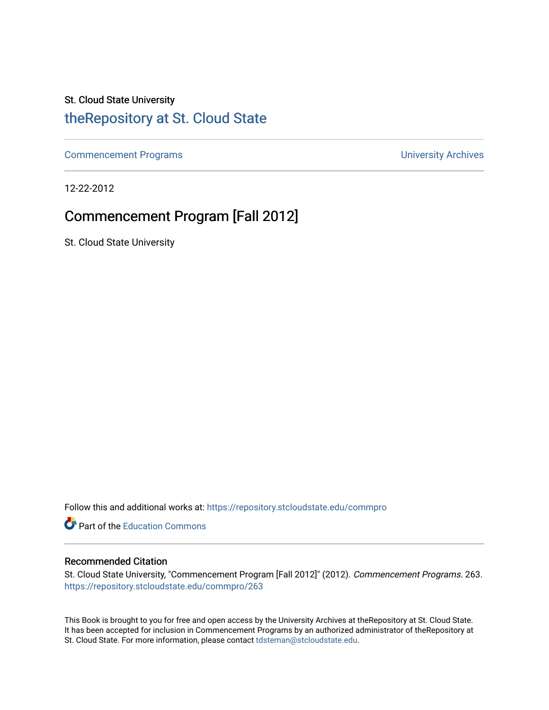### St. Cloud State University

### [theRepository at St. Cloud State](https://repository.stcloudstate.edu/)

[Commencement Programs](https://repository.stcloudstate.edu/commpro) **Commencement Programs University Archives** 

12-22-2012

### Commencement Program [Fall 2012]

St. Cloud State University

Follow this and additional works at: [https://repository.stcloudstate.edu/commpro](https://repository.stcloudstate.edu/commpro?utm_source=repository.stcloudstate.edu%2Fcommpro%2F263&utm_medium=PDF&utm_campaign=PDFCoverPages) 

Part of the [Education Commons](http://network.bepress.com/hgg/discipline/784?utm_source=repository.stcloudstate.edu%2Fcommpro%2F263&utm_medium=PDF&utm_campaign=PDFCoverPages)

#### Recommended Citation

St. Cloud State University, "Commencement Program [Fall 2012]" (2012). Commencement Programs. 263. [https://repository.stcloudstate.edu/commpro/263](https://repository.stcloudstate.edu/commpro/263?utm_source=repository.stcloudstate.edu%2Fcommpro%2F263&utm_medium=PDF&utm_campaign=PDFCoverPages) 

This Book is brought to you for free and open access by the University Archives at theRepository at St. Cloud State. It has been accepted for inclusion in Commencement Programs by an authorized administrator of theRepository at St. Cloud State. For more information, please contact [tdsteman@stcloudstate.edu.](mailto:tdsteman@stcloudstate.edu)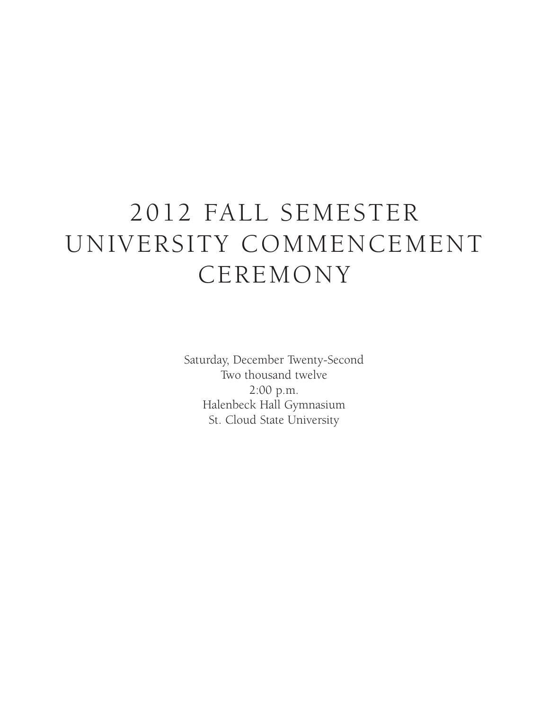# 2012 FALL SEMESTER UNIVERSITY COMMENCEMENT CEREMONY

Saturday, December Twenty-Second Two thousand twelve 2:00 p.m. Halenbeck Hall Gymnasium St. Cloud State University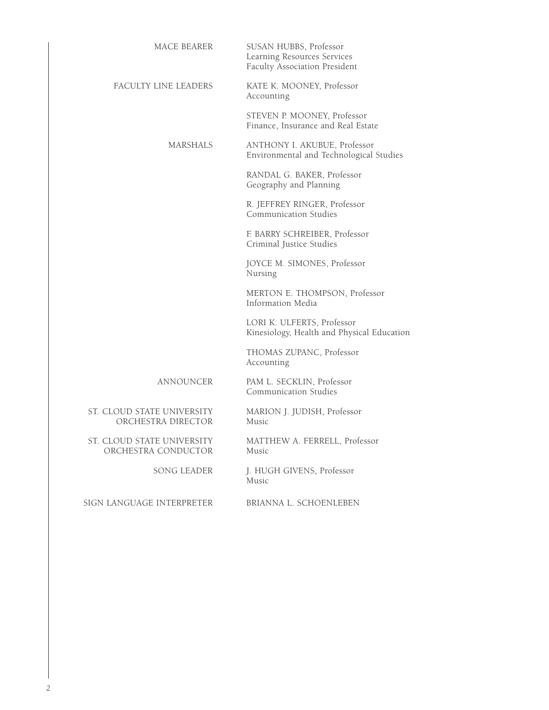| MACE BEARER                                       | SUSAN HUBBS, Professor<br>Learning Resources Services<br>Faculty Association President |
|---------------------------------------------------|----------------------------------------------------------------------------------------|
| FACULTY LINE LEADERS                              | KATE K. MOONEY, Professor<br>Accounting                                                |
|                                                   | STEVEN P. MOONEY, Professor<br>Finance, Insurance and Real Estate                      |
| <b>MARSHALS</b>                                   | ANTHONY I. AKUBUE, Professor<br>Environmental and Technological Studies                |
|                                                   | RANDAL G. BAKER, Professor<br>Geography and Planning                                   |
|                                                   | R. JEFFREY RINGER, Professor<br>Communication Studies                                  |
|                                                   | F. BARRY SCHREIBER, Professor<br>Criminal Justice Studies                              |
|                                                   | JOYCE M. SIMONES, Professor<br>Nursing                                                 |
|                                                   | MERTON E. THOMPSON, Professor<br>Information Media                                     |
|                                                   | LORI K. ULFERTS, Professor<br>Kinesiology, Health and Physical Education               |
|                                                   | THOMAS ZUPANC, Professor<br>Accounting                                                 |
| ANNOUNCER                                         | PAM L. SECKLIN, Professor<br>Communication Studies                                     |
| ST. CLOUD STATE UNIVERSITY<br>ORCHESTRA DIRECTOR  | MARION J. JUDISH, Professor<br>Music                                                   |
| ST. CLOUD STATE UNIVERSITY<br>ORCHESTRA CONDUCTOR | MATTHEW A. FERRELL, Professor<br>Music                                                 |
| SONG LEADER                                       | J. HUGH GIVENS, Professor<br>Music                                                     |
| SIGN LANGUAGE INTERPRETER                         | BRIANNA L. SCHOENLEBEN                                                                 |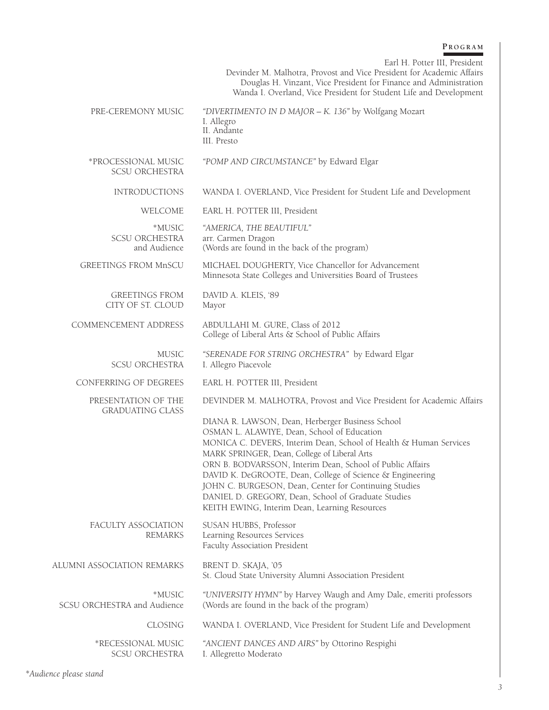#### **P r o g r a m**

Earl H. Potter III, President

|                                                 | Earl H. Potter III, President<br>Devinder M. Malhotra, Provost and Vice President for Academic Affairs<br>Douglas H. Vinzant, Vice President for Finance and Administration<br>Wanda I. Overland, Vice President for Student Life and Development                                                                                                                                                                                                                                                               |
|-------------------------------------------------|-----------------------------------------------------------------------------------------------------------------------------------------------------------------------------------------------------------------------------------------------------------------------------------------------------------------------------------------------------------------------------------------------------------------------------------------------------------------------------------------------------------------|
| PRE-CEREMONY MUSIC                              | "DIVERTIMENTO IN D MAJOR - K. 136" by Wolfgang Mozart<br>I. Allegro<br>II. Andante<br>III. Presto                                                                                                                                                                                                                                                                                                                                                                                                               |
| *PROCESSIONAL MUSIC<br><b>SCSU ORCHESTRA</b>    | "POMP AND CIRCUMSTANCE" by Edward Elgar                                                                                                                                                                                                                                                                                                                                                                                                                                                                         |
| <b>INTRODUCTIONS</b>                            | WANDA I. OVERLAND, Vice President for Student Life and Development                                                                                                                                                                                                                                                                                                                                                                                                                                              |
| WELCOME                                         | EARL H. POTTER III, President                                                                                                                                                                                                                                                                                                                                                                                                                                                                                   |
| *MUSIC<br><b>SCSU ORCHESTRA</b><br>and Audience | "AMERICA, THE BEAUTIFUL"<br>arr. Carmen Dragon<br>(Words are found in the back of the program)                                                                                                                                                                                                                                                                                                                                                                                                                  |
| <b>GREETINGS FROM MnSCU</b>                     | MICHAEL DOUGHERTY, Vice Chancellor for Advancement<br>Minnesota State Colleges and Universities Board of Trustees                                                                                                                                                                                                                                                                                                                                                                                               |
| <b>GREETINGS FROM</b><br>CITY OF ST. CLOUD      | DAVID A. KLEIS, '89<br>Mayor                                                                                                                                                                                                                                                                                                                                                                                                                                                                                    |
| COMMENCEMENT ADDRESS                            | ABDULLAHI M. GURE, Class of 2012<br>College of Liberal Arts & School of Public Affairs                                                                                                                                                                                                                                                                                                                                                                                                                          |
| MUSIC<br><b>SCSU ORCHESTRA</b>                  | "SERENADE FOR STRING ORCHESTRA" by Edward Elgar<br>I. Allegro Piacevole                                                                                                                                                                                                                                                                                                                                                                                                                                         |
| CONFERRING OF DEGREES                           | EARL H. POTTER III, President                                                                                                                                                                                                                                                                                                                                                                                                                                                                                   |
| PRESENTATION OF THE<br><b>GRADUATING CLASS</b>  | DEVINDER M. MALHOTRA, Provost and Vice President for Academic Affairs                                                                                                                                                                                                                                                                                                                                                                                                                                           |
|                                                 | DIANA R. LAWSON, Dean, Herberger Business School<br>OSMAN L. ALAWIYE, Dean, School of Education<br>MONICA C. DEVERS, Interim Dean, School of Health & Human Services<br>MARK SPRINGER, Dean, College of Liberal Arts<br>ORN B. BODVARSSON, Interim Dean, School of Public Affairs<br>DAVID K. DeGROOTE, Dean, College of Science & Engineering<br>JOHN C. BURGESON, Dean, Center for Continuing Studies<br>DANIEL D. GREGORY, Dean, School of Graduate Studies<br>KEITH EWING, Interim Dean, Learning Resources |
| FACULTY ASSOCIATION<br><b>REMARKS</b>           | SUSAN HUBBS, Professor<br>Learning Resources Services<br>Faculty Association President                                                                                                                                                                                                                                                                                                                                                                                                                          |
| ALUMNI ASSOCIATION REMARKS                      | BRENT D. SKAJA, '05<br>St. Cloud State University Alumni Association President                                                                                                                                                                                                                                                                                                                                                                                                                                  |
| *MUSIC<br>SCSU ORCHESTRA and Audience           | "UNIVERSITY HYMN" by Harvey Waugh and Amy Dale, emeriti professors<br>(Words are found in the back of the program)                                                                                                                                                                                                                                                                                                                                                                                              |
| CLOSING                                         | WANDA I. OVERLAND, Vice President for Student Life and Development                                                                                                                                                                                                                                                                                                                                                                                                                                              |
| *RECESSIONAL MUSIC<br>SCSU ORCHESTRA            | "ANCIENT DANCES AND AIRS" by Ottorino Respighi<br>I. Allegretto Moderato                                                                                                                                                                                                                                                                                                                                                                                                                                        |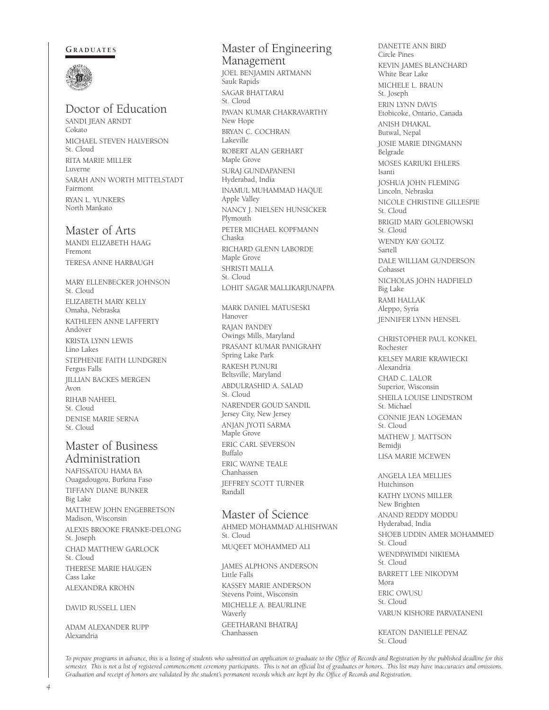#### GRADUATES



#### Doctor of Education

SANDI JEAN ARNDT Cokato MICHAEL STEVEN HALVERSON St. Cloud RITA MARIE MILLER Luverne SARAH ANN WORTH MITTELSTADT Fairmont RYAN L. YUNKERS North Mankato

#### Master of Arts

MANDI ELIZABETH HAAG Fremont TERESA ANNE HARBAUGH

MARY ELLENBECKER JOHNSON St. Cloud ELIZABETH MARY KELLY Omaha, Nebraska KATHLEEN ANNE LAFFERTY Andover KRISTA LYNN LEWIS Lino Lakes STEPHENIE FAITH LUNDGREN Fergus Falls JILLIAN BACKES MERGEN Avon RIHAB NAHEEL St. Cloud DENISE MARIE SERNA St. Cloud

#### Master of Business Administration

NAFISSATOU HAMA BA Ouagadougou, Burkina Faso TIFFANY DIANE BUNKER Big Lake MATTHEW JOHN ENGEBRETSON Madison, Wisconsin ALEXIS BROOKE FRANKE-DELONG St. Joseph CHAD MATTHEW GARLOCK St. Cloud THERESE MARIE HAUGEN Cass Lake ALEXANDRA KROHN

DAVID RUSSELL LIEN

ADAM ALEXANDER RUPP Alexandria

#### Master of Engineering Management

JOEL BENJAMIN ARTMANN Sauk Rapids SAGAR BHATTARAI St. Cloud PAVAN KUMAR CHAKRAVARTHY New Hope BRYAN C. COCHRAN Lakeville ROBERT ALAN GERHART Maple Grove SURAJ GUNDAPANENI Hyderabad, India INAMUL MUHAMMAD HAQUE Apple Valley NANCY J. NIELSEN HUNSICKER Plymouth PETER MICHAEL KOPFMANN Chaska RICHARD GLENN LABORDE Maple Grove SHRISTI MALLA St. Cloud LOHIT SAGAR MALLIKARJUNAPPA MARK DANIEL MATUSESKI

Hanover RAJAN PANDEY Owings Mills, Maryland PRASANT KUMAR PANIGRAHY Spring Lake Park RAKESH PUNURI Beltsville, Maryland ABDULRASHID A. SALAD St. Cloud NARENDER GOUD SANDIL Jersey City, New Jersey ANJAN JYOTI SARMA Maple Grove ERIC CARL SEVERSON Buffalo ERIC WAYNE TEALE Chanhassen JEFFREY SCOTT TURNER Randall

#### Master of Science

AHMED MOHAMMAD ALHISHWAN St. Cloud MUQEET MOHAMMED ALI

JAMES ALPHONS ANDERSON Little Falls KASSEY MARIE ANDERSON Stevens Point, Wisconsin MICHELLE A. BEAURLINE Waverly GEETHARANI BHATRAJ Chanhassen

DANETTE ANN BIRD Circle Pines KEVIN JAMES BLANCHARD White Bear Lake MICHELE L. BRAUN St. Joseph ERIN LYNN DAVIS Etobicoke, Ontario, Canada ANISH DHAKAL Butwal, Nepal JOSIE MARIE DINGMANN **Belgrade** MOSES KARIUKI EHLERS Isanti JOSHUA JOHN FLEMING Lincoln, Nebraska NICOLE CHRISTINE GILLESPIE St. Cloud BRIGID MARY GOLEBIOWSKI St. Cloud WENDY KAY GOLTZ Sartell DALE WILLIAM GUNDERSON Cohasset NICHOLAS JOHN HADFIELD Big Lake RAMI HALLAK Aleppo, Syria JENNIFER LYNN HENSEL CHRISTOPHER PAUL KONKEL Rochester KELSEY MARIE KRAWIECKI Alexandria CHAD C. LALOR Superior, Wisconsin SHEILA LOUISE LINDSTROM St. Michael CONNIE JEAN LOGEMAN St. Cloud MATHEW J. MATTSON Bemidji LISA MARIE MCEWEN ANGELA LEA MELLIES Hutchinson KATHY LYONS MILLER New Brighten ANAND REDDY MODDU Hyderabad, India

SHOEB UDDIN AMER MOHAMMED

WENDPAYIMDI NIKIEMA

BARRETT LEE NIKODYM

VARUN KISHORE PARVATANENI

KEATON DANIELLE PENAZ

St. Cloud

St. Cloud

St. Cloud

ERIC OWUSU St. Cloud

Mora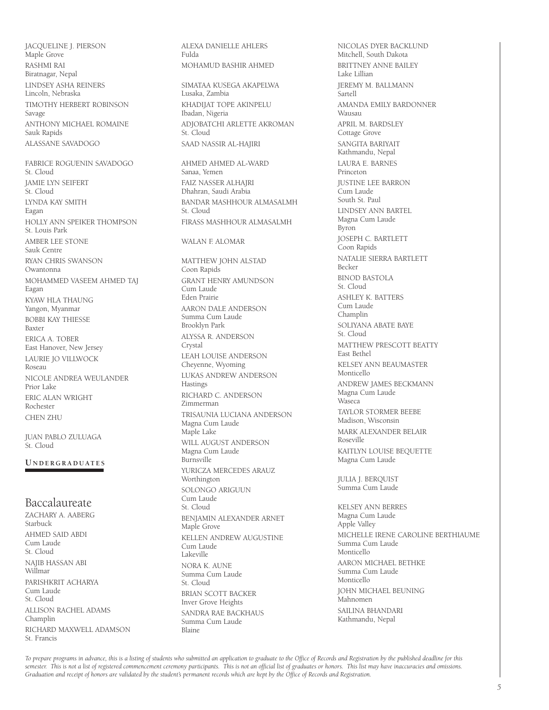JACQUELINE J. PIERSON Maple Grove RASHMI RAI Biratnagar, Nepal LINDSEY ASHA REINERS Lincoln, Nebraska TIMOTHY HERBERT ROBINSON Savage ANTHONY MICHAEL ROMAINE Sauk Rapids ALASSANE SAVADOGO

FABRICE ROGUENIN SAVADOGO St. Cloud JAMIE LYN SEIFERT St. Cloud LYNDA KAY SMITH Eagan HOLLY ANN SPEIKER THOMPSON St. Louis Park AMBER LEE STONE Sauk Centre RYAN CHRIS SWANSON Owantonna MOHAMMED VASEEM AHMED TAJ Eagan KYAW HLA THAUNG Yangon, Myanmar BOBBI KAY THIESSE Baxter ERICA A. TOBER East Hanover, New Jersey Laurie Jo Villwock Roseau NICOLE ANDREA WEULANDER Prior Lake ERIC ALAN WRIGHT Rochester CHEN ZHU

JUAN PABLO ZULUAGA St. Cloud

#### **U n d e r g r a d u at e s**

#### Baccalaureate

ZACHARY A. AABERG Starbuck AHMED SAID ABDI Cum Laude St. Cloud NAJIB HASSAN ABI Willmar PARISHKRIT ACHARYA Cum Laude St. Cloud ALLISON RACHEL ADAMS Champlin RICHARD MAXWELL ADAMSON St. Francis

ALEXA DANIELLE AHLERS Fulda MOHAMUD BASHIR AHMED

SIMATAA KUSEGA AKAPELWA Lusaka, Zambia KHADIJAT TOPE AKINPELU Ibadan, Nigeria ADJOBATCHI ARLETTE AKROMAN St. Cloud SAAD NASSIR AL-HAJIRI

AHMED AHMED AL-WARD Sanaa, Yemen FAIZ NASSER ALHAJRI Dhahran, Saudi Arabia BANDAR MASHHOUR ALMASALMH St. Cloud FIRASS MASHHOUR ALMASALMH

#### WALAN F. ALOMAR

MATTHEW JOHN ALSTAD Coon Rapids GRANT HENRY AMUNDSON Cum Laude Eden Prairie AARON DALE ANDERSON Summa Cum Laude Brooklyn Park ALYSSA R. ANDERSON Crystal LEAH LOUISE ANDERSON Cheyenne, Wyoming LUKAS ANDREW ANDERSON Hastings RICHARD C. ANDERSON Zimmerman TRISAUNIA LUCIANA ANDERSON Magna Cum Laude Maple Lake WILL AUGUST ANDERSON Magna Cum Laude Burnsville YURICZA MERCEDES ARAUZ Worthington SOLONGO ARIGUUN Cum Laude St. Cloud BENJAMIN ALEXANDER ARNET Maple Grove KELLEN ANDREW AUGUSTINE Cum Laude Lakeville NORA K. AUNE Summa Cum Laude St. Cloud BRIAN SCOTT BACKER Inver Grove Heights SANDRA RAE BACKHAUS Summa Cum Laude Blaine

NICOLAS DYER BACKLUND Mitchell, South Dakota BRITTNEY ANNE BAILEY Lake Lillian JEREMY M. BALLMANN Sartell AMANDA EMILY BARDONNER Wausau APRIL M. BARDSLEY Cottage Grove SANGITA BARIYAIT Kathmandu, Nepal LAURA E. BARNES Princeton JUSTINE LEE BARRON Cum Laude South St. Paul LINDSEY ANN BARTEL Magna Cum Laude Byron JOSEPH C. BARTLETT Coon Rapids NATALIE SIERRA BARTLETT Becker BINOD BASTOLA St. Cloud ASHLEY K. BATTERS Cum Laude Champlin SOLIYANA ABATE BAYE St. Cloud MATTHEW PRESCOTT BEATTY East Bethel KELSEY ANN BEAUMASTER Monticello ANDREW JAMES BECKMANN Magna Cum Laude Waseca TAYLOR STORMER BEEBE Madison, Wisconsin MARK ALEXANDER BELAIR Roseville KAITLYN LOUISE BEQUETTE Magna Cum Laude JULIA J. BERQUIST Summa Cum Laude KELSEY ANN BERRES

Magna Cum Laude Apple Valley MICHELLE IRENE CAROLINE BERTHIAUME Summa Cum Laude Monticello AARON MICHAEL BETHKE Summa Cum Laude Monticello JOHN MICHAEL BEUNING Mahnomen SAILINA BHANDARI Kathmandu, Nepal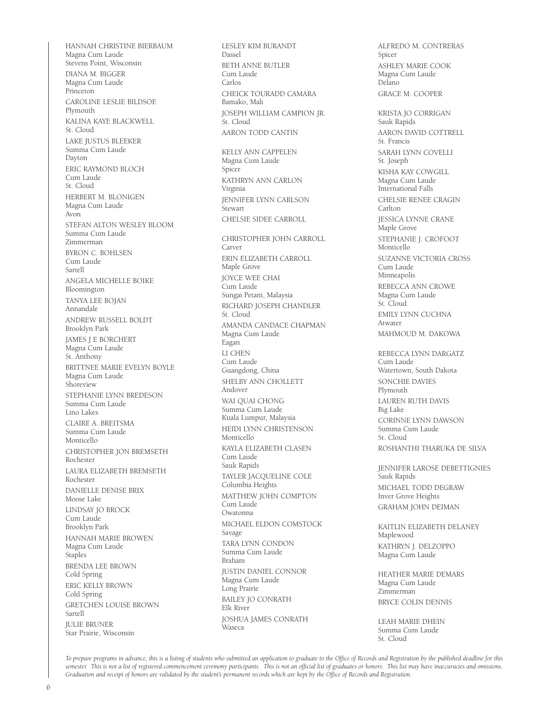HANNAH CHRISTINE BIERBAUM Magna Cum Laude Stevens Point, Wisconsin DIANA M. BIGGER Magna Cum Laude Princeton CAROLINE LESLIE BILDSOE Plymouth KALINA KAYE BLACKWELL St. Cloud LAKE JUSTUS BLEEKER Summa Cum Laude Dayton ERIC RAYMOND BLOCH Cum Laude St. Cloud HERBERT M. BLONIGEN Magna Cum Laude Avon STEFAN ALTON WESLEY BLOOM Summa Cum Laude Zimmerman BYRON C. BOHLSEN Cum Laude Sartell ANGELA MICHELLE BOIKE Bloomington TANYA LEE BOJAN Annandale ANDREW RUSSELL BOLDT Brooklyn Park JAMES J E BORCHERT Magna Cum Laude St. Anthony BRITTNEE MARIE EVELYN BOYLE Magna Cum Laude Shoreview STEPHANIE LYNN BREDESON Summa Cum Laude Lino Lakes CLAIRE A. BREITSMA Summa Cum Laude Monticello CHRISTOPHER JON BREMSETH Rochester LAURA ELIZABETH BREMSETH Rochester DANIELLE DENISE BRIX Moose Lake LINDSAY JO BROCK Cum Laude Brooklyn Park HANNAH MARIE BROWEN Magna Cum Laude **Staples** BRENDA LEE BROWN Cold Spring ERIC KELLY BROWN Cold Spring GRETCHEN LOUISE BROWN Sartell JULIE BRUNER Star Prairie, Wisconsin

LESLEY KIM BURANDT Dassel BETH ANNE BUTLER Cum Laude Carlos CHEICK TOURADD CAMARA Bamako, Mali JOSEPH WILLIAM CAMPION JR. St. Cloud AARON TODD CANTIN KELLY ANN CAPPELEN Magna Cum Laude Spicer KATHRYN ANN CARLON Virginia JENNIFER LYNN CARLSON Stewart CHELSIE SIDEE CARROLL CHRISTOPHER JOHN CARROLL Carver ERIN ELIZABETH CARROLL Maple Grove JOYCE WEE CHAI Cum Laude Sungai Petani, Malaysia RICHARD JOSEPH CHANDLER St. Cloud AMANDA CANDACE CHAPMAN Magna Cum Laude Eagan LI CHEN Cum Laude Guangdong, China SHELBY ANN CHOLLETT Andover WAI QUAI CHONG Summa Cum Laude Kuala Lumpur, Malaysia HEIDI LYNN CHRISTENSON Monticello KAYLA ELIZABETH CLASEN Cum Laude Sauk Rapids TAYLER JACQUELINE COLE Columbia Heights MATTHEW JOHN COMPTON Cum Laude Owatonna MICHAEL ELDON COMSTOCK Savage TARA LYNN CONDON Summa Cum Laude Braham JUSTIN DANIEL CONNOR Magna Cum Laude Long Prairie BAILEY JO CONRATH Elk River JOSHUA JAMES CONRATH Waseca

ALFREDO M. CONTRERAS Spicer ASHLEY MARIE COOK Magna Cum Laude Delano GRACE M. COOPER KRISTA JO CORRIGAN Sauk Rapids AARON DAVID COTTRELL St. Francis SARAH LYNN COVELLI St. Joseph KISHA KAY COWGILL Magna Cum Laude International Falls CHELSIE RENEE CRAGIN Carlton JESSICA LYNNE CRANE Maple Grove STEPHANIE J. CROFOOT Monticello SUZANNE VICTORIA CROSS Cum Laude Minneapolis REBECCA ANN CROWE Magna Cum Laude St. Cloud EMILY LYNN CUCHNA Atwater MAHMOUD M. DAKOWA REBECCA LYNN DARGATZ Cum Laude Watertown, South Dakota SONCHIE DAVIES Plymouth LAUREN RUTH DAVIS Big Lake CORINNE LYNN DAWSON Summa Cum Laude St. Cloud ROSHANTHI THARUKA DE SILVA JENNIFER LAROSE DEBETTIGNIES Sauk Rapids MICHAEL TODD DEGRAW Inver Grove Heights GRAHAM JOHN DEIMAN KAITLIN ELIZABETH DELANEY

Maplewood KATHRYN J. DELZOPPO Magna Cum Laude

HEATHER MARIE DEMARS Magna Cum Laude Zimmerman BRYCE COLIN DENNIS

LEAH MARIE DHEIN Summa Cum Laude St. Cloud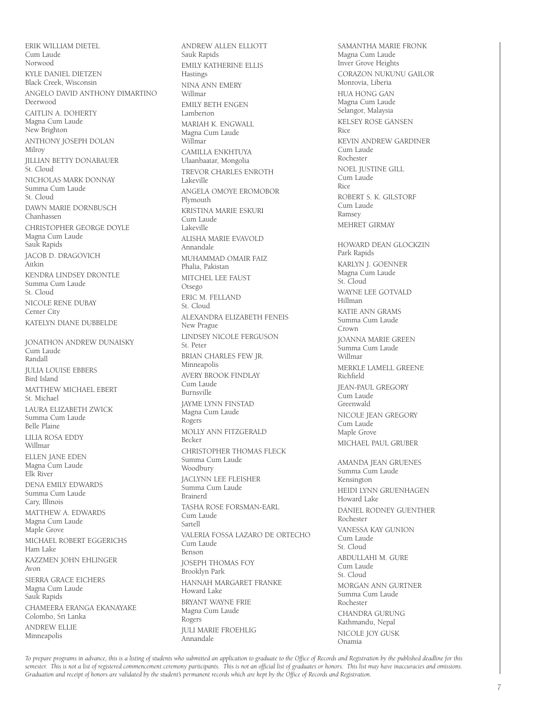ERIK WILLIAM DIETEL Cum Laude Norwood KYLE DANIEL DIETZEN Black Creek, Wisconsin ANGELO DAVID ANTHONY DIMARTINO Deerwood CAITLIN A. DOHERTY Magna Cum Laude New Brighton ANTHONY JOSEPH DOLAN Milroy JILLIAN BETTY DONABAUER St. Cloud NICHOLAS MARK DONNAY Summa Cum Laude St. Cloud DAWN MARIE DORNBUSCH Chanhassen CHRISTOPHER GEORGE DOYLE Magna Cum Laude Sauk Rapids JACOB D. DRAGOVICH Aitkin KENDRA LINDSEY DRONTLE Summa Cum Laude St. Cloud NICOLE RENE DUBAY Center City KATELYN DIANE DUBBELDE JONATHON ANDREW DUNAISKY .<br>Cum Laude Randall JULIA LOUISE EBBERS Bird Island MATTHEW MICHAEL EBERT St. Michael LAURA ELIZABETH ZWICK Summa Cum Laude Belle Plaine LILIA ROSA EDDY Willmar ELLEN JANE EDEN Magna Cum Laude Elk River DENA EMILY EDWARDS Summa Cum Laude Cary, Illinois MATTHEW A. EDWARDS Magna Cum Laude Maple Grove MICHAEL ROBERT EGGERICHS Ham Lake KAZZMEN JOHN EHLINGER Avon SIERRA GRACE EICHERS Magna Cum Laude Sauk Rapids CHAMEERA ERANGA EKANAYAKE Colombo, Sri Lanka ANDREW ELLIE Minneapolis

ANDREW ALLEN ELLIOTT Sauk Rapids EMILY KATHERINE ELLIS Hastings NINA ANN EMERY Willmar EMILY BETH ENGEN Lamberton MARIAH K. ENGWALL Magna Cum Laude Willmar CAMILLA ENKHTUYA Ulaanbaatar, Mongolia TREVOR CHARLES ENROTH Lakeville ANGELA OMOYE EROMOBOR Plymouth KRISTINA MARIE ESKURI Cum Laude Lakeville ALISHA MARIE EVAVOLD Annandale MUHAMMAD OMAIR FAIZ Phalia, Pakistan MITCHEL LEE FAUST Otsego ERIC M. FELLAND St. Cloud ALEXANDRA ELIZABETH FENEIS New Prague LINDSEY NICOLE FERGUSON St. Peter BRIAN CHARLES FEW JR. Minneapolis AVERY BROOK FINDLAY Cum Laude Burnsville JAYME LYNN FINSTAD Magna Cum Laude Rogers MOLLY ANN FITZGERALD Becker CHRISTOPHER THOMAS FLECK Summa Cum Laude Woodbury JACLYNN LEE FLEISHER Summa Cum Laude Brainerd TASHA ROSE FORSMAN-EARL Cum Laude Sartell VALERIA FOSSA LAZARO DE ORTECHO Cum Laude Benson JOSEPH THOMAS FOY Brooklyn Park HANNAH MARGARET FRANKE Howard Lake BRYANT WAYNE FRIE Magna Cum Laude Rogers JULI MARIE FROEHLIG Annandale

SAMANTHA MARIE FRONK Magna Cum Laude Inver Grove Heights CORAZON NUKUNU GAILOR Monrovia, Liberia HUA HONG GAN Magna Cum Laude Selangor, Malaysia KELSEY ROSE GANSEN Rice KEVIN ANDREW GARDINER Cum Laude Rochester NOEL JUSTINE GILL Cum Laude Rice ROBERT S. K. GILSTORF Cum Laude Ramsey MEHRET GIRMAY HOWARD DEAN GLOCKZIN Park Rapids KARLYN J. GOENNER Magna Cum Laude St. Cloud WAYNE LEE GOTVALD Hillman KATIE ANN GRAMS Summa Cum Laude Crown JOANNA MARIE GREEN Summa Cum Laude Willmar MERKLE LAMELL GREENE Richfield JEAN-PAUL GREGORY Cum Laude Greenwald NICOLE JEAN GREGORY Cum Laude Maple Grove MICHAEL PAUL GRUBER AMANDA JEAN GRUENES Summa Cum Laude Kensington HEIDI LYNN GRUENHAGEN Howard Lake DANIEL RODNEY GUENTHER Rochester VANESSA KAY GUNION Cum Laude St. Cloud ABDULLAHI M. GURE Cum Laude St. Cloud MORGAN ANN GURTNER Summa Cum Laude Rochester CHANDRA GURUNG Kathmandu, Nepal NICOLE JOY GUSK Onamia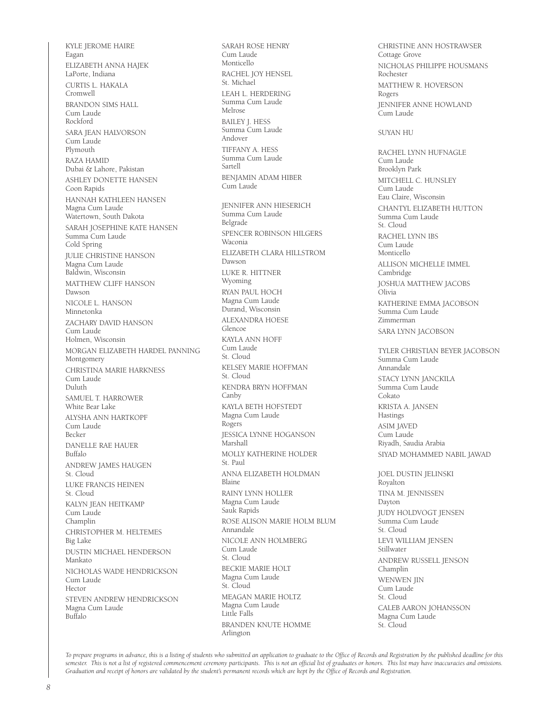KYLE JEROME HAIRE Eagan ELIZABETH ANNA HAJEK LaPorte, Indiana CURTIS L. HAKALA Cromwell BRANDON SIMS HALL Cum Laude Rockford SARA JEAN HALVORSON Cum Laude Plymouth RAZA HAMID Dubai & Lahore, Pakistan ASHLEY DONETTE HANSEN Coon Rapids HANNAH KATHLEEN HANSEN Magna Cum Laude Watertown, South Dakota SARAH JOSEPHINE KATE HANSEN Summa Cum Laude Cold Spring JULIE CHRISTINE HANSON Magna Cum Laude Baldwin, Wisconsin MATTHEW CLIFF HANSON Dawson NICOLE L. HANSON Minnetonka ZACHARY DAVID HANSON Cum Laude Holmen, Wisconsin MORGAN ELIZABETH HARDEL PANNING Montgomery CHRISTINA MARIE HARKNESS Cum Laude Duluth SAMUEL T. HARROWER White Bear Lake ALYSHA ANN HARTKOPF Cum Laude Becker DANELLE RAE HAUER Buffalo ANDREW JAMES HAUGEN St. Cloud LUKE FRANCIS HEINEN St. Cloud KALYN JEAN HEITKAMP Cum Laude Champlin CHRISTOPHER M. HELTEMES Big Lake DUSTIN MICHAEL HENDERSON Mankato NICHOLAS WADE HENDRICKSON Cum Laude Hector STEVEN ANDREW HENDRICKSON Magna Cum Laude  $B<sub>u</sub>$ ffalo

SARAH ROSE HENRY Cum Laude Monticello RACHEL JOY HENSEL St. Michael LEAH L. HERDERING Summa Cum Laude Melrose BAILEY J. HESS Summa Cum Laude Andover TIFFANY A. HESS Summa Cum Laude Sartell BENJAMIN ADAM HIBER Cum Laude JENNIFER ANN HIESERICH Summa Cum Laude Belgrade SPENCER ROBINSON HILGERS Waconia ELIZABETH CLARA HILLSTROM Dawson LUKE R. HITTNER Wyoming RYAN PAUL HOCH Magna Cum Laude Durand, Wisconsin ALEXANDRA HOESE Glencoe KAYLA ANN HOFF Cum Laude St. Cloud KELSEY MARIE HOFFMAN St. Cloud KENDRA BRYN HOFFMAN Canby KAYLA BETH HOFSTEDT Magna Cum Laude Rogers JESSICA LYNNE HOGANSON Marshall MOLLY KATHERINE HOLDER St. Paul ANNA ELIZABETH HOLDMAN Blaine RAINY LYNN HOLLER Magna Cum Laude Sauk Rapids ROSE ALISON MARIE HOLM BLUM Annandale NICOLE ANN HOLMBERG Cum Laude St. Cloud BECKIE MARIE HOLT Magna Cum Laude St. Cloud MEAGAN MARIE HOLTZ Magna Cum Laude Little Falls BRANDEN KNUTE HOMME Arlington

CHRISTINE ANN HOSTRAWSER Cottage Grove NICHOLAS PHILIPPE HOUSMANS Rochester MATTHEW R. HOVERSON Rogers JENNIFER ANNE HOWLAND Cum Laude SUYAN HU RACHEL LYNN HUFNAGLE Cum Laude Brooklyn Park MITCHELL C. HUNSLEY Cum Laude Eau Claire, Wisconsin CHANTYL ELIZABETH HUTTON Summa Cum Laude St. Cloud RACHEL LYNN IBS Cum Laude Monticello ALLISON MICHELLE IMMEL Cambridge JOSHUA MATTHEW JACOBS Olivia KATHERINE EMMA JACOBSON Summa Cum Laude Zimmerman SARA LYNN JACOBSON TYLER CHRISTIAN BEYER JACOBSON Summa Cum Laude Annandale STACY LYNN JANCKILA Summa Cum Laude Cokato KRISTA A. JANSEN Hastings ASIM JAVED Cum Laude Riyadh, Saudia Arabia SIYAD MOHAMMED NABIL JAWAD JOEL DUSTIN JELINSKI Royalton TINA M. JENNISSEN Dayton JUDY HOLDVOGT JENSEN Summa Cum Laude St. Cloud LEVI WILLIAM JENSEN Stillwater ANDREW RUSSELL JENSON Champlin WENWEN JIN Cum Laude St. Cloud CALEB AARON JOHANSSON

Magna Cum Laude St. Cloud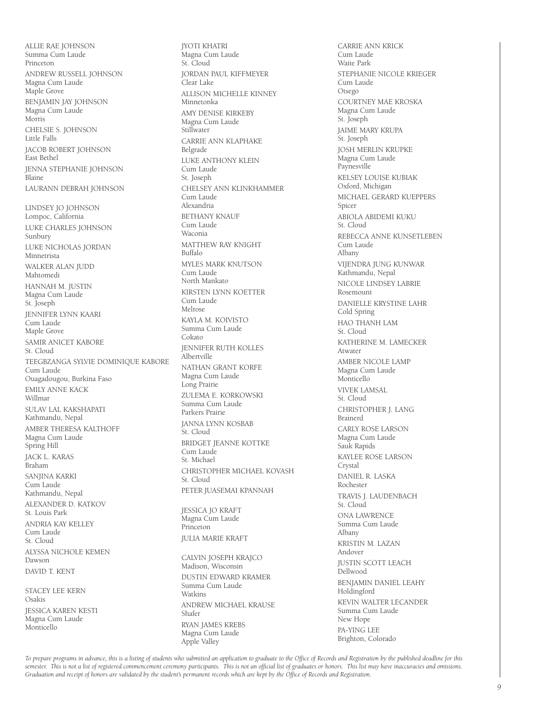ALLIE RAE JOHNSON Summa Cum Laude Princeton ANDREW RUSSELL JOHNSON Magna Cum Laude Maple Grove BENJAMIN JAY JOHNSON Magna Cum Laude Morris CHELSIE S. JOHNSON Little Falls JACOB ROBERT JOHNSON East Bethel JENNA STEPHANIE JOHNSON Blaine LAURANN DEBRAH JOHNSON LINDSEY JO JOHNSON Lompoc, California LUKE CHARLES JOHNSON Sunbury LUKE NICHOLAS JORDAN Minnetrista WALKER ALAN JUDD Mahtomedi HANNAH M. JUSTIN Magna Cum Laude St. Joseph JENNIFER LYNN KAARI Cum Laude Maple Grove SAMIR ANICET KABORE St. Cloud TEEGBZANGA SYLVIE DOMINIQUE KABORE Cum Laude Ouagadougou, Burkina Faso EMILY ANNE KACK Willmar SULAV LAL KAKSHAPATI Kathmandu, Nepal AMBER THERESA KALTHOFF Magna Cum Laude Spring Hill JACK L. KARAS Braham SANJINA KARKI Cum Laude Kathmandu, Nepal ALEXANDER D. KATKOV St. Louis Park ANDRIA KAY KELLEY Cum Laude St. Cloud ALYSSA NICHOLE KEMEN Dawson DAVID T. KENT STACEY LEE KERN Osakis JESSICA KAREN KESTI Magna Cum Laude

Monticello

JYOTI KHATRI Magna Cum Laude St. Cloud JORDAN PAUL KIFFMEYER Clear Lake ALLISON MICHELLE KINNEY Minnetonka AMY DENISE KIRKEBY Magna Cum Laude Stillwater CARRIE ANN KLAPHAKE Belgrade LUKE ANTHONY KLEIN Cum Laude St. Joseph CHELSEY ANN KLINKHAMMER Cum Laude Alexandria BETHANY KNAUF Cum Laude Waconia MATTHEW RAY KNIGHT Buffalo Myles Mark Knutson Cum Laude North Mankato KIRSTEN LYNN KOETTER Cum Laude Melrose KAYLA M. KOIVISTO Summa Cum Laude Cokato JENNIFER RUTH KOLLES Albertville NATHAN GRANT KORFE Magna Cum Laude Long Prairie ZULEMA E. KORKOWSKI Summa Cum Laude Parkers Prairie JANNA LYNN KOSBAB St. Cloud BRIDGET JEANNE KOTTKE Cum Laude St. Michael CHRISTOPHER MICHAEL KOVASH St. Cloud PETER JUASEMAI KPANNAH JESSICA JO KRAFT Magna Cum Laude Princeton JULIA MARIE KRAFT CALVIN JOSEPH KRAJCO

Madison, Wisconsin DUSTIN EDWARD KRAMER Summa Cum Laude Watkins ANDREW MICHAEL KRAUSE Shafer RYAN JAMES KREBS Magna Cum Laude Apple Valley

CARRIE ANN KRICK Cum Laude Waite Park STEPHANIE NICOLE KRIEGER Cum Laude Otsego COURTNEY MAE KROSKA Magna Cum Laude St. Joseph JAIME MARY KRUPA St. Joseph JOSH MERLIN KRUPKE Magna Cum Laude Paynesville KELSEY LOUISE KUBIAK Oxford, Michigan MICHAEL GERARD KUEPPERS Spicer ABIOLA ABIDEMI KUKU St. Cloud REBECCA ANNE KUNSETLEBEN Cum Laude Albany VIJENDRA JUNG KUNWAR Kathmandu, Nepal NICOLE LINDSEY LABRIE Rosemount DANIELLE KRYSTINE LAHR Cold Spring HAO THANH LAM St. Cloud KATHERINE M. LAMECKER Atwater AMBER NICOLE LAMP Magna Cum Laude Monticello VIVEK LAMSAL St. Cloud CHRISTOPHER J. LANG Brainerd CARLY ROSE LARSON Magna Cum Laude Sauk Rapids KAYLEE ROSE LARSON Crystal DANIEL R. LASKA Rochester TRAVIS J. LAUDENBACH St. Cloud ONA LAWRENCE Summa Cum Laude Albany KRISTIN M. LAZAN Andover JUSTIN SCOTT LEACH Dellwood BENJAMIN DANIEL LEAHY Holdingford KEVIN WALTER LECANDER Summa Cum Laude New Hope PA-YING LEE Brighton, Colorado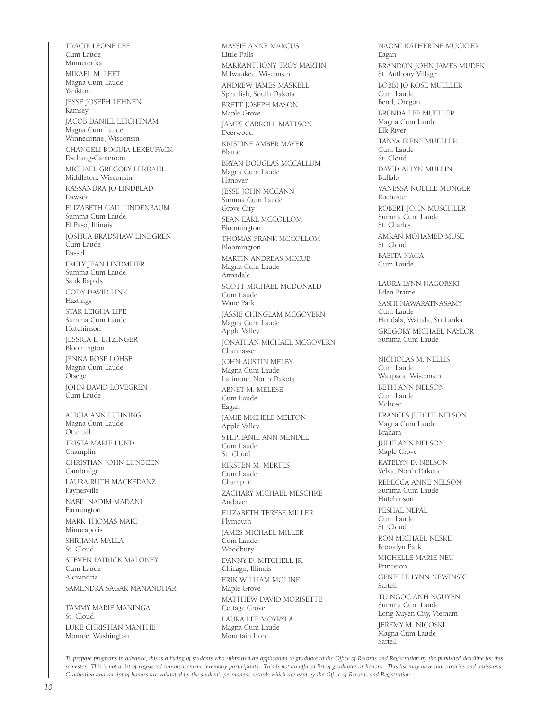TRACIE LEONE LEE Cum Laude Minnetonka MIKAEL M. LEET Magna Cum Laude Yankton JESSE JOSEPH LEHNEN Ramsey JACOB DANIEL LEICHTNAM Magna Cum Laude Winneconne, Wisconsin CHANCELI BOGUIA LEKEUFACK Dschang-Cameroon MICHAEL GREGORY LERDAHL Middleton, Wisconsin KASSANDRA JO LINDBLAD Dawson ELIZABETH GAIL LINDENBAUM Summa Cum Laude El Paso, Illinois JOSHUA BRADSHAW LINDGREN Cum Laude Dassel EMILY JEAN LINDMEIER Summa Cum Laude Sauk Rapids CODY DAVID LINK Hastings STAR LEIGHA LIPE Summa Cum Laude Hutchinson JESSICA L. LITZINGER Bloomington JENNA ROSE LOHSE Magna Cum Laude Otsego JOHN DAVID LOVEGREN Cum Laude ALICIA ANN LUHNING Magna Cum Laude **Ottertail** TRISTA MARIE LUND Champlin CHRISTIAN JOHN LUNDEEN Cambridge LAURA RUTH MACKEDANZ Paynesville NABIL NADIM MADANI Farmington MARK THOMAS MAKI Minneapolis SHRIJANA MALLA St. Cloud STEVEN PATRICK MALONEY Cum Laude Alexandria SAMENDRA SAGAR MANANDHAR TAMMY MARIE MANINGA St. Cloud

LUKE CHRISTIAN MANTHE Monroe, Washington

MAYSIE ANNE MARCUS Little Falls MARKANTHONY TROY MARTIN Milwaukee, Wisconsin ANDREW JAMES MASKELL Spearfish, South Dakota BRETT JOSEPH MASON Maple Grove JAMES CARROLL MATTSON Deerwood KRISTINE AMBER MAYER Blaine BRYAN DOUGLAS MCCALLUM Magna Cum Laude Hanover JESSE JOHN MCCANN Summa Cum Laude Grove City SEAN EARL MCCOLLOM Bloomington THOMAS FRANK MCCOLLOM Bloomington MARTIN ANDREAS MCCUE Magna Cum Laude Annadale SCOTT MICHAEL MCDONALD Cum Laude Waite Park JASSIE CHINGLAM MCGOVERN Magna Cum Laude Apple Valley JONATHAN MICHAEL MCGOVERN Chanhassen JOHN AUSTIN MELBY Magna Cum Laude Larimore, North Dakota ABNET M. MELESE Cum Laude Eagan JAMIE MICHELE MELTON Apple Valley STEPHANIE ANN MENDEL Cum Laude St. Cloud KIRSTEN M. MERTES Cum Laude Champlin ZACHARY MICHAEL MESCHKE Andover ELIZABETH TERESE MILLER Plymouth JAMES MICHAEL MILLER Cum Laude Woodbury DANNY D. MITCHELL JR. Chicago, Illinois ERIK WILLIAM MOLINE Maple Grove MATTHEW DAVID MORISETTE Cottage Grove LAURA LEE MOYRYLA Magna Cum Laude Mountain Iron

NAOMI KATHERINE MUCKLER Eagan BRANDON JOHN JAMES MUDEK St. Anthony Village BOBBI JO ROSE MUELLER Cum Laude Bend, Oregon BRENDA LEE MUELLER Magna Cum Laude Elk River TANYA IRENE MUELLER Cum Laude St. Cloud DAVID ALLYN MULLIN Buffalo VANESSA NOELLE MUNGER Rochester ROBERT JOHN MUSCHLER Summa Cum Laude St. Charles AMRAN MOHAMED MUSE St. Cloud BABITA NAGA Cum Laude LAURA LYNN NAGORSKI Eden Prairie SASHI NAWARATNASAMY Cum Laude Hendala, Wattala, Sri Lanka GREGORY MICHAEL NAYLOR Summa Cum Laude NICHOLAS M. NELLIS Cum Laude Waupaca, Wisconsin BETH ANN NELSON Cum Laude Melrose FRANCES JUDITH NELSON Magna Cum Laude Braham JULIE ANN NELSON Maple Grove KATELYN D. NELSON Velva, North Dakota REBECCA ANNE NELSON Summa Cum Laude Hutchinson PESHAL NEPAL Cum Laude St. Cloud RON MICHAEL NESKE Brooklyn Park MICHELLE MARIE NEU Princeton GENELLE LYNN NEWINSKI Sartell TU NGOC ANH NGUYEN Summa Cum Laude Long Xuyen City, Vietnam JEREMY M. NICOSKI Magna Cum Laude Sartell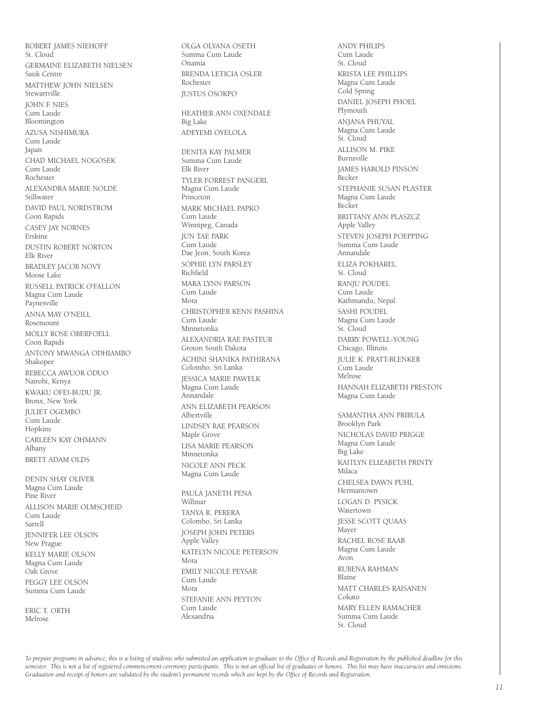ROBERT JAMES NIEHOFF St. Cloud GERMAINE ELIZABETH NIELSEN Sauk Centre MATTHEW JOHN NIELSEN Stewartville JOHN F. NIES Cum Laude Bloomington AZUSA NISHIMURA Cum Laude Japan CHAD MICHAEL NOGOSEK Cum Laude Rochester ALEXANDRA MARIE NOLDE Stillwater DAVID PAUL NORDSTROM Coon Rapids CASEY JAY NORNES Erskine DUSTIN ROBERT NORTON Elk River BRADLEY JACOB NOVY Moose Lake RUSSELL PATRICK O'FALLON Magna Cum Laude Paynesville ANNA MAY O'NEILL Rosemount MOLLY ROSE OBERFOELL Coon Rapids ANTONY MWANGA ODHIAMBO Shakopee REBECCA AWUOR ODUO Nairobi, Kenya KWAKU OFEI-BUDU JR. Bronx, New York JULIET OGEMBO Cum Laude Hopkins CARLEEN KAY OHMANN Albany BRETT ADAM OLDS DENIN SHAY OLIVER

Magna Cum Laude Pine River ALLISON MARIE OLMSCHEID Cum Laude Sartell JENNIFER LEE OLSON New Prague KELLY MARIE OLSON Magna Cum Laude Oak Grove PEGGY LEE OLSON Summa Cum Laude

ERIC T. ORTH Melrose

OLGA OLYANA OSETH Summa Cum Laude Onamia BRENDA LETICIA OSLER Rochester JUSTUS OSOKPO

HEATHER ANN OXENDALE Big Lake ADEYEMI OYELOLA

DENITA KAY PALMER Summa Cum Laude Elk River TYLER FORREST PANGERL Magna Cum Laude Princeton MARK MICHAEL PAPKO Cum Laude Winnipeg, Canada JUN TAE PARK Cum Laude Dae Jeon, South Korea SOPHIE LYN PARSLEY Richfield MARA LYNN PARSON Cum Laude Mora CHRISTOPHER KENN PASHINA Cum Laude Minnetonka ALEXANDRIA RAE PASTEUR Groton South Dakota ACHINI SHANIKA PATHIRANA Colombo, Sri Lanka JESSICA MARIE PAWELK Magna Cum Laude Annandale ANN ELIZABETH PEARSON Albertville LINDSEY RAE PEARSON Maple Grove LISA MARIE PEARSON Minnetonka NICOLE ANN PECK Magna Cum Laude PAULA JANETH PENA Willmar TANYA R. PERERA Colombo, Sri Lanka JOSEPH JOHN PETERS Apple Valley KATELYN NICOLE PETERSON Mora EMILY NICOLE PEYSAR Cum Laude Mora STEFANIE ANN PEYTON Cum Laude Alexandria

ANDY PHILIPS Cum Laude St. Cloud KRISTA LEE PHILLIPS Magna Cum Laude Cold Spring DANIEL JOSEPH PHOEL Plymouth ANJANA PHUYAL Magna Cum Laude St. Cloud ALLISON M. PIKE Burnsville JAMES HAROLD PINSON Becker STEPHANIE SUSAN PLASTER Magna Cum Laude Becker BRITTANY ANN PLASZCZ Apple Valley STEVEN JOSEPH POEPPING Summa Cum Laude Annandale ELIZA POKHAREL St. Cloud RANJU POUDEL Cum Laude Kathmandu, Nepal SASHI POUDEL Magna Cum Laude St. Cloud DARRY POWELL-YOUNG Chicago, Illinois JULIE K. PRATT-BLENKER Cum Laude Melrose HANNAH ELIZABETH PRESTON Magna Cum Laude SAMANTHA ANN PRIBULA Brooklyn Park NICHOLAS DAVID PRIGGE Magna Cum Laude Big Lake KAITLYN ELIZABETH PRINTY Milaca CHELSEA DAWN PUHL Hermantown LOGAN D. PYSICK Watertown JESSE SCOTT QUAAS Mayer RACHEL ROSE RAAB Magna Cum Laude Avon RUBENA RAHMAN Blaine MATT CHARLES RAISANEN Cokato MARY ELLEN RAMACHER Summa Cum Laude St. Cloud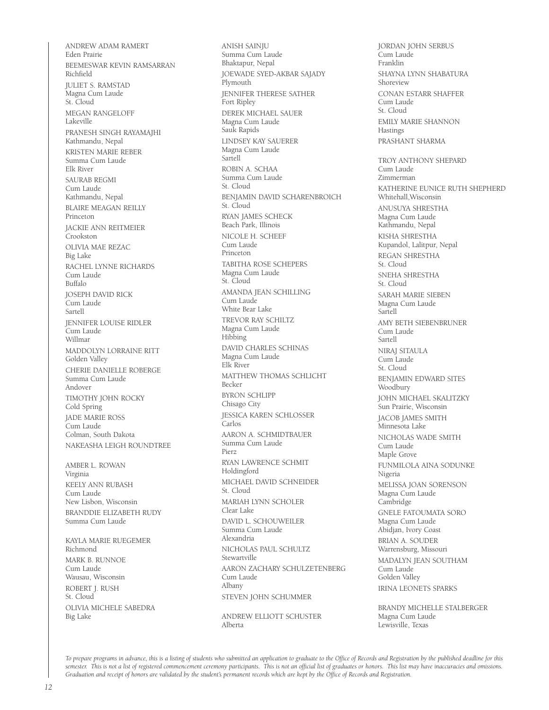ANDREW ADAM RAMERT Eden Prairie BEEMESWAR KEVIN RAMSARRAN Richfield JULIET S. RAMSTAD Magna Cum Laude St. Cloud MEGAN RANGELOFF Lakeville PRANESH SINGH RAYAMAJHI Kathmandu, Nepal KRISTEN MARIE REBER Summa Cum Laude Elk River SAURAB REGMI Cum Laude Kathmandu, Nepal BLAIRE MEAGAN REILLY Princeton JACKIE ANN REITMEIER Crookston OLIVIA MAE REZAC Big Lake RACHEL LYNNE RICHARDS Cum Laude Buffalo JOSEPH DAVID RICK Cum Laude Sartell JENNIFER LOUISE RIDLER Cum Laude Willmar MADDOLYN LORRAINE RITT Golden Valley CHERIE DANIELLE ROBERGE Summa Cum Laude Andover TIMOTHY JOHN ROCKY Cold Spring JADE MARIE ROSS Cum Laude Colman, South Dakota NAKEASHA LEIGH ROUNDTREE AMBER L. ROWAN

Virginia KEELY ANN RUBASH Cum Laude New Lisbon, Wisconsin BRANDDIE ELIZABETH RUDY Summa Cum Laude

KAYLA MARIE RUEGEMER Richmond MARK B. RUNNOE Cum Laude Wausau, Wisconsin ROBERT J. RUSH St. Cloud OLIVIA MICHELE SABEDRA Big Lake

ANISH SAINJU Summa Cum Laude Bhaktapur, Nepal JOEWADE SYED-AKBAR SAJADY Plymouth JENNIFER THERESE SATHER Fort Ripley DEREK MICHAEL SAUER Magna Cum Laude Sauk Rapids LINDSEY KAY SAUERER Magna Cum Laude Sartell ROBIN A. SCHAA Summa Cum Laude St. Cloud BENJAMIN DAVID SCHARENBROICH St. Cloud RYAN JAMES SCHECK Beach Park, Illinois NICOLE H. SCHEEF Cum Laude Princeton TABITHA ROSE SCHEPERS Magna Cum Laude St. Cloud AMANDA JEAN SCHILLING Cum Laude White Bear Lake TREVOR RAY SCHILTZ Magna Cum Laude Hibbing DAVID CHARLES SCHINAS Magna Cum Laude Elk River MATTHEW THOMAS SCHLICHT Becker BYRON SCHLIPP Chisago City JESSICA KAREN SCHLOSSER Carlos AARON A. SCHMIDTBAUER Summa Cum Laude Pierz RYAN LAWRENCE SCHMIT Holdingford MICHAEL DAVID SCHNEIDER St. Cloud MARIAH LYNN SCHOLER Clear Lake DAVID L. SCHOUWEILER Summa Cum Laude Alexandria NICHOLAS PAUL SCHULTZ Stewartville AARON ZACHARY SCHULZETENBERG Cum Laude Albany STEVEN JOHN SCHUMMER

ANDREW ELLIOTT SCHUSTER Alberta

JORDAN JOHN SERBUS Cum Laude Franklin SHAYNA LYNN SHABATURA Shoreview CONAN ESTARR SHAFFER Cum Laude St. Cloud EMILY MARIE SHANNON Hastings PRASHANT SHARMA TROY ANTHONY SHEPARD Cum Laude Zimmerman KATHERINE EUNICE RUTH SHEPHERD Whitehall,Wisconsin ANUSUYA SHRESTHA Magna Cum Laude Kathmandu, Nepal KISHA SHRESTHA Kupandol, Lalitpur, Nepal REGAN SHRESTHA St. Cloud SNEHA SHRESTHA St. Cloud SARAH MARIE SIEBEN Magna Cum Laude Sartell AMY BETH SIEBENBRUNER Cum Laude Sartell NIRAJ SITAULA Cum Laude St. Cloud BENJAMIN EDWARD SITES Woodbury JOHN MICHAEL SKALITZKY Sun Prairie, Wisconsin JACOB JAMES SMITH Minnesota Lake NICHOLAS WADE SMITH Cum Laude Maple Grove FUNMILOLA AINA SODUNKE Nigeria MELISSA JOAN SORENSON Magna Cum Laude Cambridge GNELE FATOUMATA SORO Magna Cum Laude Abidjan, Ivory Coast BRIAN A. SOUDER Warrensburg, Missouri MADALYN JEAN SOUTHAM Cum Laude Golden Valley IRINA LEONETS SPARKS

BRANDY MICHELLE STALBERGER Magna Cum Laude Lewisville, Texas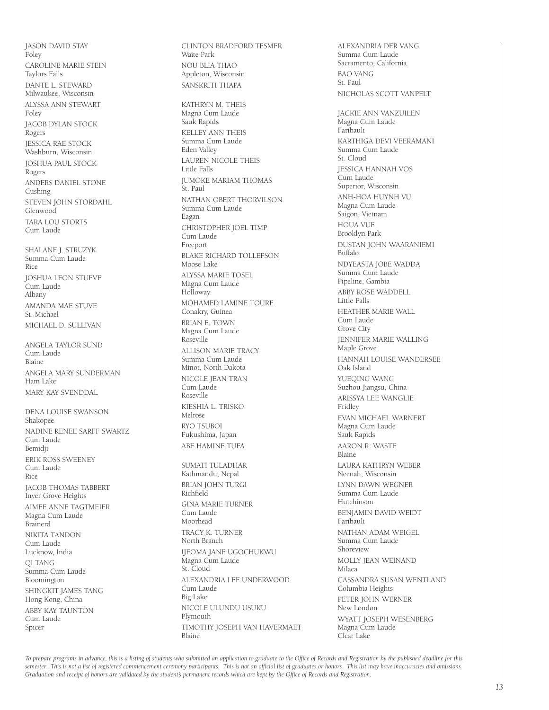JASON DAVID STAY Foley CAROLINE MARIE STEIN Taylors Falls DANTE L. STEWARD Milwaukee, Wisconsin ALYSSA ANN STEWART Foley JACOB DYLAN STOCK Rogers JESSICA RAE STOCK Washburn, Wisconsin JOSHUA PAUL STOCK Rogers ANDERS DANIEL STONE Cushing STEVEN JOHN STORDAHL Glenwood TARA LOU STORTS Cum Laude SHALANE J. STRUZYK

Summa Cum Laude Rice JOSHUA LEON STUEVE Cum Laude Albany AMANDA MAE STUVE St. Michael MICHAEL D. SULLIVAN

ANGELA TAYLOR SUND Cum Laude Blaine ANGELA MARY SUNDERMAN Ham Lake MARY KAY SVENDDAL

DENA LOUISE SWANSON Shakopee NADINE RENEE SARFF SWARTZ Cum Laude Bemidji ERIK ROSS SWEENEY Cum Laude Rice JACOB THOMAS TABBERT Inver Grove Heights AIMEE ANNE TAGTMEIER Magna Cum Laude Brainerd NIKITA TANDON Cum Laude Lucknow, India QI TANG Summa Cum Laude Bloomington SHINGKIT JAMES TANG Hong Kong, China ABBY KAY TAUNTON Cum Laude Spicer

CLINTON BRADFORD TESMER Waite Park NOU BLIA THAO Appleton, Wisconsin SANSKRITI THAPA

KATHRYN M. THEIS

Magna Cum Laude Sauk Rapids KELLEY ANN THEIS Summa Cum Laude Eden Valley LAUREN NICOLE THEIS Little Falls JUMOKE MARIAM THOMAS St. Paul NATHAN OBERT THORVILSON Summa Cum Laude Eagan CHRISTOPHER JOEL TIMP Cum Laude Freeport BLAKE RICHARD TOLLEFSON Moose Lake ALYSSA MARIE TOSEL Magna Cum Laude Holloway MOHAMED LAMINE TOURE Conakry, Guinea BRIAN E. TOWN Magna Cum Laude Roseville ALLISON MARIE TRACY Summa Cum Laude Minot, North Dakota NICOLE JEAN TRAN Cum Laude Roseville KIESHIA L. TRISKO Melrose RYO TSUBOI Fukushima, Japan ABE HAMINE TUFA SUMATI TULADHAR Kathmandu, Nepal BRIAN JOHN TURGI Richfield GINA MARIE TURNER Cum Laude Moorhead TRACY K. TURNER North Branch IJEOMA JANE UGOCHUKWU Magna Cum Laude St. Cloud ALEXANDRIA LEE UNDERWOOD Cum Laude Big Lake NICOLE ULUNDU USUKU Plymouth TIMOTHY JOSEPH VAN HAVERMAET Blaine

ALEXANDRIA DER VANG Summa Cum Laude Sacramento, California BAO VANG St. Paul NICHOLAS SCOTT VANPELT JACKIE ANN VANZUILEN Magna Cum Laude Faribault KARTHIGA DEVI VEERAMANI Summa Cum Laude St. Cloud JESSICA HANNAH VOS Cum Laude Superior, Wisconsin ANH-HOA HUYNH VU Magna Cum Laude Saigon, Vietnam HOUA VUE Brooklyn Park DUSTAN JOHN WAARANIEMI Buffalo NDYEASTA JOBE WADDA Summa Cum Laude Pipeline, Gambia ABBY ROSE WADDELL Little Falls HEATHER MARIE WALL Cum Laude Grove City JENNIFER MARIE WALLING Maple Grove HANNAH LOUISE WANDERSEE Oak Island YUEQING WANG Suzhou Jiangsu, China ARISSYA LEE WANGLIE Fridley EVAN MICHAEL WARNERT Magna Cum Laude Sauk Rapids AARON R. WASTE Blaine LAURA KATHRYN WEBER Neenah, Wisconsin LYNN DAWN WEGNER Summa Cum Laude Hutchinson BENJAMIN DAVID WEIDT Faribault NATHAN ADAM WEIGEL Summa Cum Laude Shoreview MOLLY JEAN WEINAND Milaca CASSANDRA SUSAN WENTLAND Columbia Heights PETER JOHN WERNER New London WYATT JOSEPH WESENBERG Magna Cum Laude Clear Lake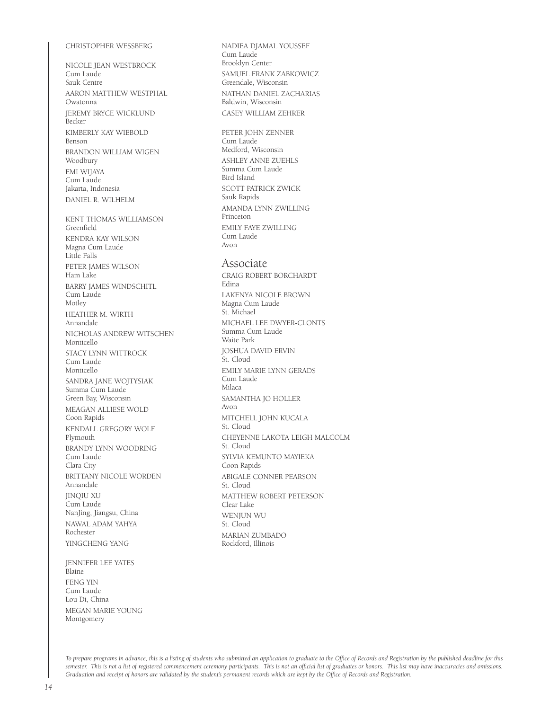#### CHRISTOPHER WESSBERG

NICOLE JEAN WESTBROCK Cum Laude Sauk Centre AARON MATTHEW WESTPHAL Owatonna JEREMY BRYCE WICKLUND Becker KIMBERLY KAY WIEBOLD Benson BRANDON WILLIAM WIGEN Woodbury EMI WIJAYA Cum Laude Jakarta, Indonesia DANIEL R. WILHELM KENT THOMAS WILLIAMSON

Greenfield KENDRA KAY WILSON Magna Cum Laude Little Falls PETER JAMES WILSON Ham Lake BARRY JAMES WINDSCHITL Cum Laude Motley HEATHER M. WIRTH Annandale NICHOLAS ANDREW WITSCHEN Monticello STACY LYNN WITTROCK Cum Laude Monticello SANDRA JANE WOJTYSIAK Summa Cum Laude Green Bay, Wisconsin MEAGAN ALLIESE WOLD Coon Rapids KENDALL GREGORY WOLF Plymouth BRANDY LYNN WOODRING Cum Laude Clara City BRITTANY NICOLE WORDEN Annandale JINQIU XU Cum Laude NanJing, Jiangsu, China NAWAL ADAM YAHYA Rochester YINGCHENG YANG

JENNIFER LEE YATES Blaine FENG YIN Cum Laude Lou Di, China MEGAN MARIE YOUNG Montgomery

NADIEA DJAMAL YOUSSEF Cum Laude Brooklyn Center SAMUEL FRANK ZABKOWICZ Greendale, Wisconsin NATHAN DANIEL ZACHARIAS Baldwin, Wisconsin CASEY WILLIAM ZEHRER

PETER JOHN ZENNER Cum Laude Medford, Wisconsin ASHLEY ANNE ZUEHLS Summa Cum Laude Bird Island SCOTT PATRICK ZWICK Sauk Rapids AMANDA LYNN ZWILLING Princeton EMILY FAYE ZWILLING Cum Laude Avon

#### Associate

CRAIG ROBERT BORCHARDT Edina LAKENYA NICOLE BROWN Magna Cum Laude St. Michael MICHAEL LEE DWYER-CLONTS Summa Cum Laude Waite Park JOSHUA DAVID ERVIN St. Cloud EMILY MARIE LYNN GERADS Cum Laude Milaca SAMANTHA JO HOLLER Avon MITCHELL JOHN KUCALA St. Cloud CHEYENNE LAKOTA LEIGH MALCOLM St. Cloud SYLVIA KEMUNTO MAYIEKA Coon Rapids ABIGALE CONNER PEARSON St. Cloud MATTHEW ROBERT PETERSON Clear Lake WENJUN WU St. Cloud MARIAN ZUMBADO Rockford, Illinois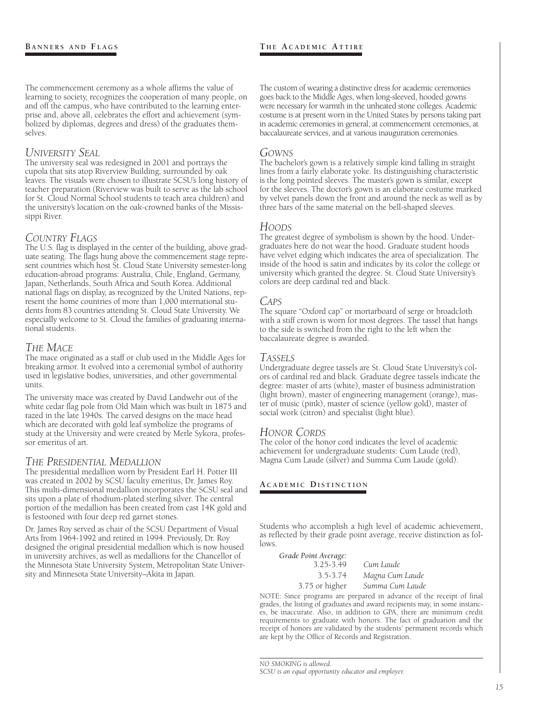The commencement ceremony as a whole affirms the value of learning to society, recognizes the cooperation of many people, on and off the campus, who have contributed to the learning enterprise and, above all, celebrates the effort and achievement (symbolized by diplomas, degrees and dress) of the graduates themselves.

#### *University Seal*

The university seal was redesigned in 2001 and portrays the cupola that sits atop Riverview Building, surrounded by oak leaves. The visuals were chosen to illustrate SCSU's long history of teacher preparation (Riverview was built to serve as the lab school for St. Cloud Normal School students to teach area children) and the university's location on the oak-crowned banks of the Mississippi River.

#### *Country Flags*

The U.S. flag is displayed in the center of the building, above graduate seating. The flags hung above the commencement stage represent countries which host St. Cloud State University semester-long education-abroad programs: Australia, Chile, England, Germany, Japan, Netherlands, South Africa and South Korea. Additional national flags on display, as recognized by the United Nations, represent the home countries of more than 1,000 international students from 83 countries attending St. Cloud State University. We especially welcome to St. Cloud the families of graduating international students.

#### *The Mace*

The mace originated as a staff or club used in the Middle Ages for breaking armor. It evolved into a ceremonial symbol of authority used in legislative bodies, universities, and other governmental units.

The university mace was created by David Landwehr out of the white cedar flag pole from Old Main which was built in 1875 and razed in the late 1940s. The carved designs on the mace head which are decorated with gold leaf symbolize the programs of study at the University and were created by Merle Sykora, professor emeritus of art.

#### *The Presidential Medallion*

The presidential medallion worn by President Earl H. Potter III was created in 2002 by SCSU faculty emeritus, Dr. James Roy. This multi-dimensional medallion incorporates the SCSU seal and sits upon a plate of rhodium-plated sterling silver. The central portion of the medallion has been created from cast 14K gold and is festooned with four deep red garnet stones.

Dr. James Roy served as chair of the SCSU Department of Visual Arts from 1964-1992 and retired in 1994. Previously, Dr. Roy designed the original presidential medallion which is now housed in university archives, as well as medallions for the Chancellor of the Minnesota State University System, Metropolitan State University and Minnesota State University–Akita in Japan.

The custom of wearing a distinctive dress for academic ceremonies goes back to the Middle Ages, when long-sleeved, hooded gowns were necessary for warmth in the unheated stone colleges. Academic costume is at present worn in the United States by persons taking part in academic ceremonies in general, at commencement ceremonies, at baccalaureate services, and at various inauguration ceremonies.

#### *Gowns*

The bachelor's gown is a relatively simple kind falling in straight lines from a fairly elaborate yoke. Its distinguishing characteristic is the long pointed sleeves. The master's gown is similar, except for the sleeves. The doctor's gown is an elaborate costume marked by velvet panels down the front and around the neck as well as by three bars of the same material on the bell-shaped sleeves.

#### *Hoods*

The greatest degree of symbolism is shown by the hood. Undergraduates here do not wear the hood. Graduate student hoods have velvet edging which indicates the area of specialization. The inside of the hood is satin and indicates by its color the college or university which granted the degree. St. Cloud State University's colors are deep cardinal red and black.

#### *Caps*

The square "Oxford cap" or mortarboard of serge or broadcloth with a stiff crown is worn for most degrees. The tassel that hangs to the side is switched from the right to the left when the baccalaureate degree is awarded.

#### *Tassels*

Undergraduate degree tassels are St. Cloud State University's colors of cardinal red and black. Graduate degree tassels indicate the degree: master of arts (white), master of business administration (light brown), master of engineering management (orange), master of music (pink), master of science (yellow gold), master of social work (citron) and specialist (light blue).

#### *Honor Cords*

The color of the honor cord indicates the level of academic achievement for undergraduate students: Cum Laude (red), Magna Cum Laude (silver) and Summa Cum Laude (gold).

#### **A c a d e m i c Di s t i n c t i o n**

Students who accomplish a high level of academic achievement, as reflected by their grade point average, receive distinction as follows.

| Grade Point Average: |                 |
|----------------------|-----------------|
| 3.25-3.49            | Cum Laude       |
| 3.5-3.74             | Magna Cum Laude |
| 3.75 or higher       | Summa Cum Laude |

NOTE: Since programs are prepared in advance of the receipt of final grades, the listing of graduates and award recipients may, in some instances, be inaccurate. Also, in addition to GPA, there are minimum credit requirements to graduate with honors. The fact of graduation and the receipt of honors are validated by the students' permanent records which are kept by the Office of Records and Registration.

*NO SMOKING is allowed. SCSU is an equal opportunity educator and employer.*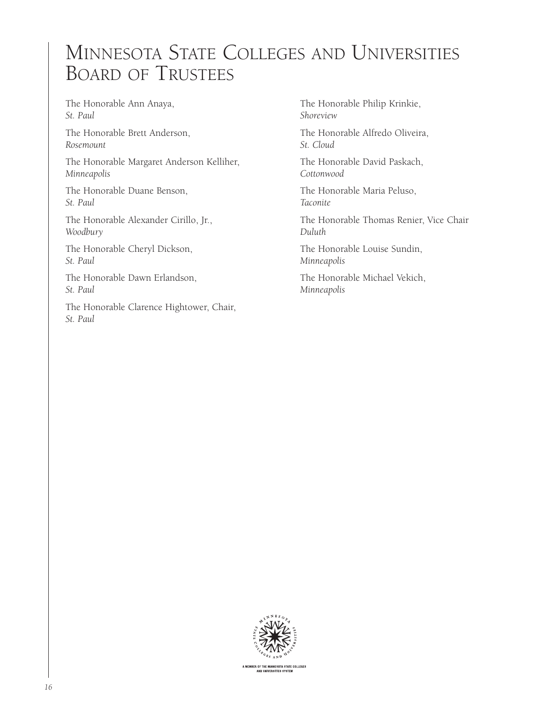## Minnesota State Colleges and Universities Board of Trustees

The Honorable Ann Anaya, *St. Paul*

The Honorable Brett Anderson, *Rosemount*

The Honorable Margaret Anderson Kelliher, *Minneapolis*

The Honorable Duane Benson, *St. Paul*

The Honorable Alexander Cirillo, Jr., *Woodbury*

The Honorable Cheryl Dickson, *St. Paul*

The Honorable Dawn Erlandson, *St. Paul*

The Honorable Clarence Hightower, Chair, *St. Paul*

The Honorable Philip Krinkie, *Shoreview*

The Honorable Alfredo Oliveira, *St. Cloud*

The Honorable David Paskach, *Cottonwood*

The Honorable Maria Peluso, *Taconite*

The Honorable Thomas Renier, Vice Chair *Duluth*

The Honorable Louise Sundin, *Minneapolis*

The Honorable Michael Vekich, *Minneapolis*



A MEMBER OF THE MINNESOTA STATE COLLEGES AND UNIVERSITIES SYSTEI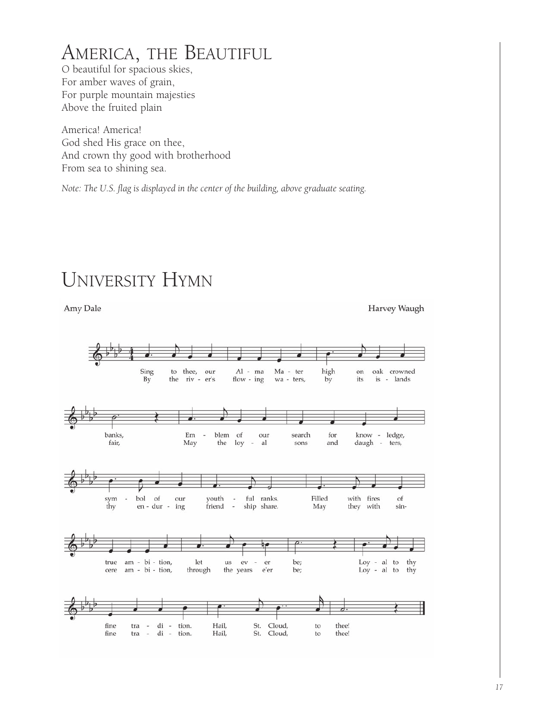## America, the Beautiful

O beautiful for spacious skies, For amber waves of grain, For purple mountain majesties Above the fruited plain

America! America! God shed His grace on thee, And crown thy good with brotherhood From sea to shining sea.

*Note: The U.S. flag is displayed in the center of the building, above graduate seating.*

## University Hymn

Amy Dale Harvey Waugh high Sing to thee, our Al - ma Ma - ter on oak crowned  $By$ the is - lands riv - er's flow -  $ing$ wa - ters,  $by$ its banks,  $\rm Em$ blem of our search for know  $\sigma$ ledge, i. fair, May the loy daugh - ters, ÷, al sons and Filled ful ranks. with fires bol youth of sym of our  $\ddot{\cdot}$ thy en - dur - ing friend ship share. May they with sino 4۵ Loy - al to thy am - bi - tion, let be; true us  $ev$ er through Loy - al to thy cere am - bi - tion, the years e'er be; fine di -Hail, St. Cloud, thee! tion. tra  $\sim$ to  $\sim$  $\bar{a}$ St. fine tra di tion. Hail, Cloud,  $\,$  to thee!